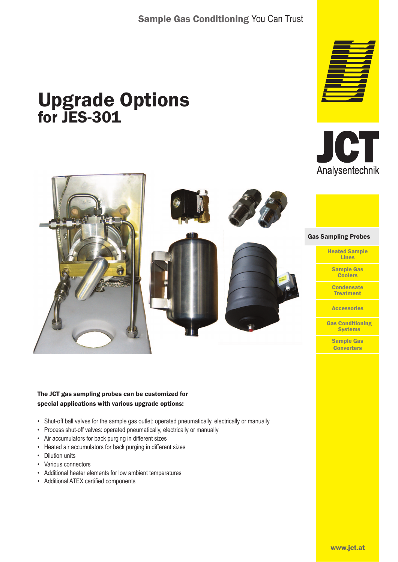# Sample Gas Conditioning You Can Trust

# Upgrade Options for JES-301







#### The JCT gas sampling probes can be customized for special applications with various upgrade options:

- Shut-off ball valves for the sample gas outlet: operated pneumatically, electrically or manually
- Process shut-off valves: operated pneumatically, electrically or manually
- Air accumulators for back purging in different sizes
- Heated air accumulators for back purging in different sizes
- Dilution units
- Various connectors
- Additional heater elements for low ambient temperatures
- Additional ATEX certified components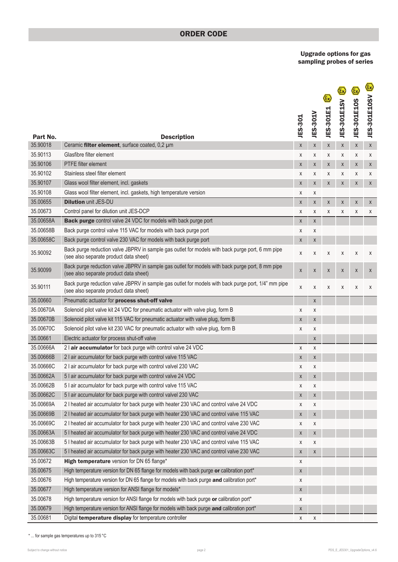### ORDER CODE

Upgrade options for gas sampling probes of series

|                        |                                                                                                                                               | <b>JES-301</b> | <b>JES-301V</b>    | JES-301E1 | JES-301E1SV | ξx)<br><b>JES-301E10S</b> | <u>(ମ୍</u><br>JES-301E10SV |
|------------------------|-----------------------------------------------------------------------------------------------------------------------------------------------|----------------|--------------------|-----------|-------------|---------------------------|----------------------------|
| Part No.               | <b>Description</b>                                                                                                                            |                |                    |           |             |                           |                            |
| 35.90018<br>35.90113   | Ceramic filter element, surface coated, 0,2 µm<br>Glasfibre filter element                                                                    | $\mathsf X$    | X                  | Χ         | X           | $\mathsf X$               | $\mathsf X$                |
| 35.90106               | <b>PTFE</b> filter element                                                                                                                    | Χ              | X                  | X         | X           | X                         | Χ                          |
| 35.90102               | Stainless steel filter element                                                                                                                | X              | X                  | X         | X           | X                         | X                          |
| 35.90107               |                                                                                                                                               | X              | X                  | Χ         | Χ           | X                         | X                          |
| 35.90108               | Glass wool filter element, incl. gaskets                                                                                                      | X              | X                  | X         | X           | X                         | X                          |
| 35.00655               | Glass wool filter element, incl. gaskets, high temperature version<br><b>Dilution unit JES-DU</b>                                             | Χ              | X                  |           |             |                           |                            |
|                        |                                                                                                                                               | $\mathsf X$    | $\pmb{\mathsf{X}}$ | Χ         | Χ           | X                         | X                          |
| 35.00673               | Control panel for dilution unit JES-DCP                                                                                                       | Χ              | X                  | X         | Χ           | Χ                         | X                          |
| 35.00658A<br>35.00658B | Back purge control valve 24 VDC for models with back purge port<br>Back purge control valve 115 VAC for models with back purge port           | X              | X                  |           |             |                           |                            |
| 35.00658C              | Back purge control valve 230 VAC for models with back purge port                                                                              | X              | X                  |           |             |                           |                            |
|                        |                                                                                                                                               | X              | X                  |           |             |                           |                            |
| 35.90092               | Back purge reduction valve JBPRV in sample gas outlet for models with back purge port, 6 mm pipe<br>(see also separate product data sheet)    | X              | X                  | X         | Χ           | X                         | X                          |
| 35.90099               | Back purge reduction valve JBPRV in sample gas outlet for models with back purge port, 8 mm pipe<br>(see also separate product data sheet)    | $\mathsf X$    | $\pmb{\chi}$       | Χ         | X           | X                         | X                          |
| 35.90111               | Back purge reduction valve JBPRV in sample gas outlet for models with back purge port, 1/4" mm pipe<br>(see also separate product data sheet) | X              | X                  | X         | Χ           | X                         | X                          |
| 35.00660               | Pneumatic actuator for process shut-off valve                                                                                                 |                | X                  |           |             |                           |                            |
| 35.00670A              | Solenoid pilot valve kit 24 VDC for pneumatic actuator with valve plug, form B                                                                | X              | X                  |           |             |                           |                            |
| 35.00670B              | Solenoid pilot valve kit 115 VAC for pneumatic actuator with valve plug, form B                                                               | $\mathsf X$    | $\pmb{\chi}$       |           |             |                           |                            |
| 35.00670C              | Solenoid pilot valve kit 230 VAC for pneumatic actuator with valve plug, form B                                                               | X              | X                  |           |             |                           |                            |
| 35.00661               | Electric actuator for process shut-off valve                                                                                                  |                | X                  |           |             |                           |                            |
| 35.00666A              | 2 air accumulator for back purge with control valve 24 VDC                                                                                    | X              | X                  |           |             |                           |                            |
| 35.00666B              | 2 I air accumulator for back purge with control valve 115 VAC                                                                                 | X              | X                  |           |             |                           |                            |
| 35.00666C              | 2 I air accumulator for back purge with control valvel 230 VAC                                                                                | X              | X                  |           |             |                           |                            |
| 35.00662A              | 5 I air accumulator for back purge with control valve 24 VDC                                                                                  | X              | X                  |           |             |                           |                            |
| 35.00662B              | 5 I air accumulator for back purge with control valve 115 VAC                                                                                 | X              | X                  |           |             |                           |                            |
| 35.00662C              | 5 I air accumulator for back purge with control valvel 230 VAC                                                                                | $\mathsf X$    | X                  |           |             |                           |                            |
| 35.00669A              | 21 heated air accumulator for back purge with heater 230 VAC and control valve 24 VDC                                                         | X              | Χ                  |           |             |                           |                            |
| 35.00669B              | 2 I heated air accumulator for back purge with heater 230 VAC and control valve 115 VAC                                                       | $\mathsf X$    | X                  |           |             |                           |                            |
| 35.00669C              | 2 I heated air accumulator for back purge with heater 230 VAC and control valve 230 VAC                                                       | X              | X                  |           |             |                           |                            |
| 35.00663A              | 5 I heated air accumulator for back purge with heater 230 VAC and control valve 24 VDC                                                        | $\mathsf X$    | X                  |           |             |                           |                            |
| 35.00663B              | 51 heated air accumulator for back purge with heater 230 VAC and control valve 115 VAC                                                        | X              | X                  |           |             |                           |                            |
| 35.00663C              | 5 I heated air accumulator for back purge with heater 230 VAC and control valve 230 VAC                                                       | X              | X                  |           |             |                           |                            |
| 35.00672               | High temperature version for DN 65 flange*                                                                                                    | X              |                    |           |             |                           |                            |
| 35.00675               | High temperature version for DN 65 flange for models with back purge or calibration port*                                                     | X              |                    |           |             |                           |                            |
| 35.00676               | High temperature version for DN 65 flange for models with back purge and calibration port*                                                    | X              |                    |           |             |                           |                            |
| 35.00677               | High temperature version for ANSI flange for models*                                                                                          | $\mathsf X$    |                    |           |             |                           |                            |
| 35.00678               | High temperature version for ANSI flange for models with back purge or calibration port*                                                      | X              |                    |           |             |                           |                            |
| 35.00679               | High temperature version for ANSI flange for models with back purge and calibration port*                                                     | X              |                    |           |             |                           |                            |
| 35.00681               | Digital temperature display for temperature controller                                                                                        | X              | X                  |           |             |                           |                            |

 $^*$  ... for sample gas temperatures up to 315  $^{\circ}$ C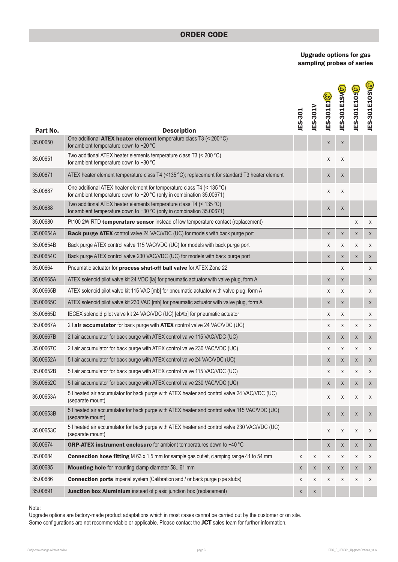### ORDER CODE

Upgrade options for gas sampling probes of series

| Part No.  |                                                                                                                                                         | <b>JES-301</b> | JES-301V    | JES-301E1 <sup>[?]</sup> | <b>JES-301E1SVR</b> | <b>JES-301E10SR</b> | <b>JES-301E10SVE</b> |
|-----------|---------------------------------------------------------------------------------------------------------------------------------------------------------|----------------|-------------|--------------------------|---------------------|---------------------|----------------------|
| 35.00650  | <b>Description</b><br>One additional ATEX heater element temperature class T3 (< 200 °C)                                                                |                |             |                          |                     |                     |                      |
|           | for ambient temperature down to -20 °C                                                                                                                  |                |             | X                        | X                   |                     |                      |
| 35.00651  | Two additional ATEX heater elements temperature class T3 (< 200 °C)<br>for ambient temperature down to −30 °C                                           |                |             | X                        | Χ                   |                     |                      |
| 35.00671  | ATEX heater element temperature class T4 (<135 °C); replacement for standard T3 heater element                                                          |                |             | X                        | X                   |                     |                      |
| 35.00687  | One additional ATEX heater element for temperature class T4 (< 135 °C)<br>for ambient temperature down to -20 °C (only in combination 35.00671)         |                |             | X                        | X                   |                     |                      |
| 35.00688  | Two additional ATEX heater elements temperature class T4 (< $135^{\circ}$ C)<br>for ambient temperature down to $-30$ °C (only in combination 35.00671) |                |             | X                        | $\mathsf X$         |                     |                      |
| 35.00680  | Pt100 2W RTD temperature sensor instead of low temperature contact (replacement)                                                                        |                |             |                          |                     | X                   | X                    |
| 35.00654A | Back purge ATEX control valve 24 VAC/VDC (UC) for models with back purge port                                                                           |                |             | X                        | X                   | $\mathsf X$         | X                    |
| 35.00654B | Back purge ATEX control valve 115 VAC/VDC (UC) for models with back purge port                                                                          |                |             | X                        | X                   | X                   | Χ                    |
| 35.00654C | Back purge ATEX control valve 230 VAC/VDC (UC) for models with back purge port                                                                          |                |             | X                        | X                   | $\mathsf{X}$        | X                    |
| 35.00664  | Pneumatic actuator for process shut-off ball valve for ATEX Zone 22                                                                                     |                |             |                          | χ                   |                     | X                    |
| 35.00665A | ATEX solenoid pilot valve kit 24 VDC [ia] for pneumatic actuator with valve plug, form A                                                                |                |             | Χ                        | X                   |                     | X                    |
| 35.00665B | ATEX solenoid pilot valve kit 115 VAC [mb] for pneumatic actuator with valve plug, form A                                                               |                |             | X                        | X                   |                     | X                    |
| 35.00665C | ATEX solenoid pilot valve kit 230 VAC [mb] for pneumatic actuator with valve plug, form A                                                               |                |             | Χ                        | Χ                   |                     | $\mathsf X$          |
| 35.00665D | IECEX solenoid pilot valve kit 24 VAC/VDC (UC) [eb/tb] for pneumatic actuator                                                                           |                |             | X                        | Χ                   |                     | Χ                    |
| 35.00667A | 21 air accumulator for back purge with ATEX control valve 24 VAC/VDC (UC)                                                                               |                |             | X                        | X                   | X                   | X                    |
| 35.00667B | 2 I air accumulator for back purge with ATEX control valve 115 VAC/VDC (UC)                                                                             |                |             | X                        | X                   | X                   | X                    |
| 35.00667C | 2 I air accumulator for back purge with ATEX control valve 230 VAC/VDC (UC)                                                                             |                |             | X                        | X                   | Χ                   | Χ                    |
| 35.00652A | 5 I air accumulator for back purge with ATEX control valve 24 VAC/VDC (UC)                                                                              |                |             | X                        | X                   | X                   | X                    |
| 35.00652B | 5 I air accumulator for back purge with ATEX control valve 115 VAC/VDC (UC)                                                                             |                |             | Χ                        | Χ                   | X                   | X                    |
| 35.00652C | 5 I air accumulator for back purge with ATEX control valve 230 VAC/VDC (UC)                                                                             |                |             | X                        | Χ                   | Χ                   | X                    |
| 35.00653A | 5 I heated air accumulator for back purge with ATEX heater and control valve 24 VAC/VDC (UC)<br>(separate mount)                                        |                |             | X                        | Χ                   | X                   | Χ                    |
| 35.00653B | 51 heated air accumulator for back purge with ATEX heater and control valve 115 VAC/VDC (UC)<br>(separate mount)                                        |                |             | X                        | X                   | X                   | X                    |
| 35.00653C | 5 I heated air accumulator for back purge with ATEX heater and control valve 230 VAC/VDC (UC)<br>(separate mount)                                       |                |             | X                        | Χ                   | X                   | Χ                    |
| 35.00674  | GRP-ATEX instrument enclosure for ambient temperatures down to -40 °C                                                                                   |                |             | X                        | X                   | X                   | X                    |
| 35.00684  | <b>Connection hose fitting</b> M 63 x 1,5 mm for sample gas outlet, clamping range 41 to 54 mm                                                          | X              | X           | Χ                        | X                   | Χ                   | Χ                    |
| 35.00685  | Mounting hole for mounting clamp diameter 5861 mm                                                                                                       | X              | X           | X                        | X                   | X                   | X                    |
| 35.00686  | <b>Connection ports</b> imperial system (Calibration and / or back purge pipe stubs)                                                                    | X              | Χ           | Χ                        | X                   | Χ                   | Χ                    |
| 35.00691  | Junction box Aluminium instead of plasic junction box (replacement)                                                                                     | X              | $\mathsf X$ |                          |                     |                     |                      |

#### Note:

Upgrade options are factory-made product adaptations which in most cases cannot be carried out by the customer or on site. Some configurations are not recommendable or applicable. Please contact the JCT sales team for further information.